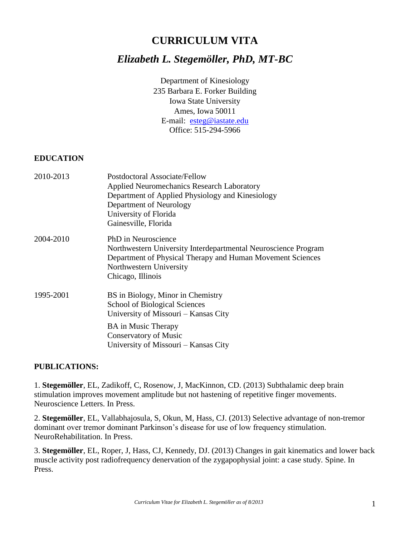# **CURRICULUM VITA**

# *Elizabeth L. Stegemöller, PhD, MT-BC*

Department of Kinesiology 235 Barbara E. Forker Building Iowa State University Ames, Iowa 50011 E-mail: [esteg@iastate.edu](mailto:esteg@iastate.edu) Office: 515-294-5966

#### **EDUCATION**

| 2010-2013 | Postdoctoral Associate/Fellow<br><b>Applied Neuromechanics Research Laboratory</b><br>Department of Applied Physiology and Kinesiology<br>Department of Neurology<br>University of Florida<br>Gainesville, Florida |
|-----------|--------------------------------------------------------------------------------------------------------------------------------------------------------------------------------------------------------------------|
| 2004-2010 | PhD in Neuroscience<br>Northwestern University Interdepartmental Neuroscience Program<br>Department of Physical Therapy and Human Movement Sciences<br>Northwestern University<br>Chicago, Illinois                |
| 1995-2001 | BS in Biology, Minor in Chemistry<br><b>School of Biological Sciences</b><br>University of Missouri – Kansas City                                                                                                  |
|           | <b>BA</b> in Music Therapy<br>Conservatory of Music<br>University of Missouri – Kansas City                                                                                                                        |

#### **PUBLICATIONS:**

1. **Stegemöller**, EL, Zadikoff, C, Rosenow, J, MacKinnon, CD. (2013) Subthalamic deep brain stimulation improves movement amplitude but not hastening of repetitive finger movements. Neuroscience Letters. In Press.

2. **Stegemöller**, EL, Vallabhajosula, S, Okun, M, Hass, CJ. (2013) Selective advantage of non-tremor dominant over tremor dominant Parkinson's disease for use of low frequency stimulation. NeuroRehabilitation. In Press.

3. **Stegemöller**, EL, Roper, J, Hass, CJ, Kennedy, DJ. (2013) Changes in gait kinematics and lower back muscle activity post radiofrequency denervation of the zygapophysial joint: a case study. Spine. In Press.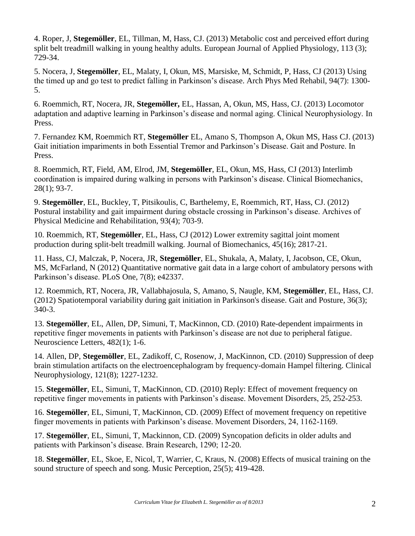4. Roper, J, **Stegemöller**, EL, Tillman, M, Hass, CJ. (2013) Metabolic cost and perceived effort during split belt treadmill walking in young healthy adults. European Journal of Applied Physiology, 113 (3); 729-34.

5. Nocera, J, **Stegemöller**, EL, Malaty, I, Okun, MS, Marsiske, M, Schmidt, P, Hass, CJ (2013) Using the timed up and go test to predict falling in Parkinson's disease. Arch Phys Med Rehabil, 94(7): 1300- 5.

6. Roemmich, RT, Nocera, JR, **Stegemöller,** EL, Hassan, A, Okun, MS, Hass, CJ. (2013) Locomotor adaptation and adaptive learning in Parkinson's disease and normal aging. Clinical Neurophysiology. In Press.

7. Fernandez KM, Roemmich RT, **Stegemöller** EL, Amano S, Thompson A, Okun MS, Hass CJ. (2013) Gait initiation impariments in both Essential Tremor and Parkinson's Disease. Gait and Posture. In Press.

8. Roemmich, RT, Field, AM, Elrod, JM, **Stegemöller**, EL, Okun, MS, Hass, CJ (2013) Interlimb coordination is impaired during walking in persons with Parkinson's disease. Clinical Biomechanics, 28(1); 93-7.

9. **Stegemöller**, EL, Buckley, T, Pitsikoulis, C, Barthelemy, E, Roemmich, RT, Hass, CJ. (2012) Postural instability and gait impairment during obstacle crossing in Parkinson's disease. Archives of Physical Medicine and Rehabilitation, 93(4); 703-9.

10. Roemmich, RT, **Stegemöller**, EL, Hass, CJ (2012) Lower extremity sagittal joint moment production during split-belt treadmill walking. Journal of Biomechanics, 45(16); 2817-21.

11. Hass, CJ, Malczak, P, Nocera, JR, **Stegemöller**, EL, Shukala, A, Malaty, I, Jacobson, CE, Okun, MS, McFarland, N (2012) Quantitative normative gait data in a large cohort of ambulatory persons with Parkinson's disease. PLoS One, 7(8); e42337.

12. Roemmich, RT, Nocera, JR, Vallabhajosula, S, Amano, S, Naugle, KM, **Stegemöller**, EL, Hass, CJ. (2012) Spatiotemporal variability during gait initiation in Parkinson's disease. Gait and Posture, 36(3); 340-3.

13. **Stegemöller**, EL, Allen, DP, Simuni, T, MacKinnon, CD. (2010) Rate-dependent impairments in repetitive finger movements in patients with Parkinson's disease are not due to peripheral fatigue. Neuroscience Letters, 482(1); 1-6.

14. Allen, DP, **Stegemöller**, EL, Zadikoff, C, Rosenow, J, MacKinnon, CD. (2010) Suppression of deep brain stimulation artifacts on the electroencephalogram by frequency-domain Hampel filtering. Clinical Neurophysiology, 121(8); 1227-1232.

15. **Stegemöller**, EL, Simuni, T, MacKinnon, CD. (2010) Reply: Effect of movement frequency on repetitive finger movements in patients with Parkinson's disease. Movement Disorders, 25, 252-253.

16. **Stegemöller**, EL, Simuni, T, MacKinnon, CD. (2009) Effect of movement frequency on repetitive finger movements in patients with Parkinson's disease. Movement Disorders, 24, 1162-1169.

17. **Stegemöller**, EL, Simuni, T, Mackinnon, CD. (2009) Syncopation deficits in older adults and patients with Parkinson's disease. Brain Research, 1290; 12-20.

18. **Stegemöller**, EL, Skoe, E, Nicol, T, Warrier, C, Kraus, N. (2008) Effects of musical training on the sound structure of speech and song. Music Perception, 25(5); 419-428.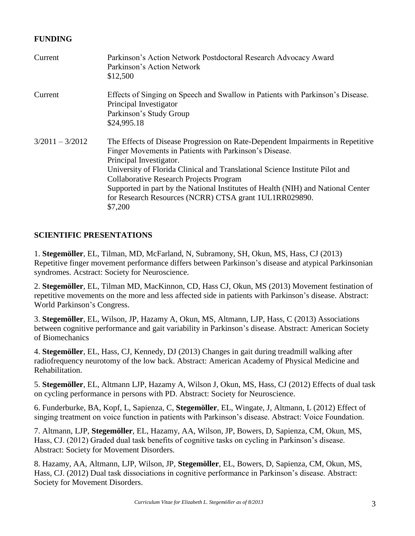### **FUNDING**

| Current           | Parkinson's Action Network Postdoctoral Research Advocacy Award<br>Parkinson's Action Network<br>\$12,500                                                                                                                                                                                                                                                                                                                                                      |
|-------------------|----------------------------------------------------------------------------------------------------------------------------------------------------------------------------------------------------------------------------------------------------------------------------------------------------------------------------------------------------------------------------------------------------------------------------------------------------------------|
| Current           | Effects of Singing on Speech and Swallow in Patients with Parkinson's Disease.<br>Principal Investigator<br>Parkinson's Study Group<br>\$24,995.18                                                                                                                                                                                                                                                                                                             |
| $3/2011 - 3/2012$ | The Effects of Disease Progression on Rate-Dependent Impairments in Repetitive<br>Finger Movements in Patients with Parkinson's Disease.<br>Principal Investigator.<br>University of Florida Clinical and Translational Science Institute Pilot and<br><b>Collaborative Research Projects Program</b><br>Supported in part by the National Institutes of Health (NIH) and National Center<br>for Research Resources (NCRR) CTSA grant 1UL1RR029890.<br>\$7,200 |

#### **SCIENTIFIC PRESENTATIONS**

1. **Stegemöller**, EL, Tilman, MD, McFarland, N, Subramony, SH, Okun, MS, Hass, CJ (2013) Repetitive finger movement performance differs between Parkinson's disease and atypical Parkinsonian syndromes. Acstract: Society for Neuroscience.

2. **Stegemöller**, EL, Tilman MD, MacKinnon, CD, Hass CJ, Okun, MS (2013) Movement festination of repetitive movements on the more and less affected side in patients with Parkinson's disease. Abstract: World Parkinson's Congress.

3. **Stegemöller**, EL, Wilson, JP, Hazamy A, Okun, MS, Altmann, LJP, Hass, C (2013) Associations between cognitive performance and gait variability in Parkinson's disease. Abstract: American Society of Biomechanics

4. **Stegemöller**, EL, Hass, CJ, Kennedy, DJ (2013) Changes in gait during treadmill walking after radiofrequency neurotomy of the low back. Abstract: American Academy of Physical Medicine and Rehabilitation.

5. **Stegemöller**, EL, Altmann LJP, Hazamy A, Wilson J, Okun, MS, Hass, CJ (2012) Effects of dual task on cycling performance in persons with PD. Abstract: Society for Neuroscience.

6. Funderburke, BA, Kopf, L, Sapienza, C, **Stegemöller**, EL, Wingate, J, Altmann, L (2012) Effect of singing treatment on voice function in patients with Parkinson's disease. Abstract: Voice Foundation.

7. Altmann, LJP, **Stegemöller**, EL, Hazamy, AA, Wilson, JP, Bowers, D, Sapienza, CM, Okun, MS, Hass, CJ. (2012) Graded dual task benefits of cognitive tasks on cycling in Parkinson's disease. Abstract: Society for Movement Disorders.

8. Hazamy, AA, Altmann, LJP, Wilson, JP, **Stegemöller**, EL, Bowers, D, Sapienza, CM, Okun, MS, Hass, CJ. (2012) Dual task dissociations in cognitive performance in Parkinson's disease. Abstract: Society for Movement Disorders.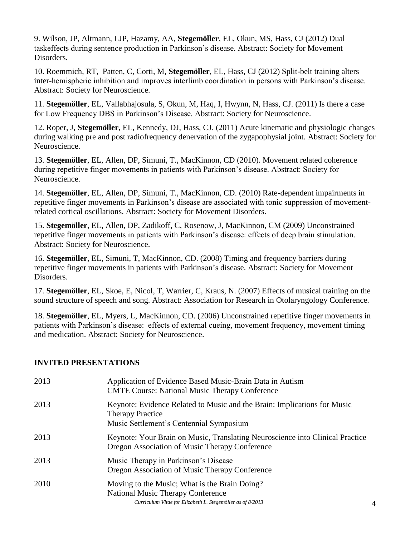9. Wilson, JP, Altmann, LJP, Hazamy, AA, **Stegemöller**, EL, Okun, MS, Hass, CJ (2012) Dual taskeffects during sentence production in Parkinson's disease. Abstract: Society for Movement Disorders.

10. Roemmich, RT, Patten, C, Corti, M, **Stegemöller**, EL, Hass, CJ (2012) Split-belt training alters inter-hemispheric inhibition and improves interlimb coordination in persons with Parkinson's disease. Abstract: Society for Neuroscience.

11. **Stegemöller**, EL, Vallabhajosula, S, Okun, M, Haq, I, Hwynn, N, Hass, CJ. (2011) Is there a case for Low Frequency DBS in Parkinson's Disease. Abstract: Society for Neuroscience.

12. Roper, J, **Stegemöller**, EL, Kennedy, DJ, Hass, CJ. (2011) Acute kinematic and physiologic changes during walking pre and post radiofrequency denervation of the zygapophysial joint. Abstract: Society for Neuroscience.

13. **Stegemöller**, EL, Allen, DP, Simuni, T., MacKinnon, CD (2010). Movement related coherence during repetitive finger movements in patients with Parkinson's disease. Abstract: Society for Neuroscience.

14. **Stegemöller**, EL, Allen, DP, Simuni, T., MacKinnon, CD. (2010) Rate-dependent impairments in repetitive finger movements in Parkinson's disease are associated with tonic suppression of movementrelated cortical oscillations. Abstract: Society for Movement Disorders.

15. **Stegemöller**, EL, Allen, DP, Zadikoff, C, Rosenow, J, MacKinnon, CM (2009) Unconstrained repetitive finger movements in patients with Parkinson's disease: effects of deep brain stimulation. Abstract: Society for Neuroscience.

16. **Stegemöller**, EL, Simuni, T, MacKinnon, CD. (2008) Timing and frequency barriers during repetitive finger movements in patients with Parkinson's disease. Abstract: Society for Movement Disorders.

17. **Stegemöller**, EL, Skoe, E, Nicol, T, Warrier, C, Kraus, N. (2007) Effects of musical training on the sound structure of speech and song. Abstract: Association for Research in Otolaryngology Conference.

18. **Stegemöller**, EL, Myers, L, MacKinnon, CD. (2006) Unconstrained repetitive finger movements in patients with Parkinson's disease: effects of external cueing, movement frequency, movement timing and medication. Abstract: Society for Neuroscience.

### **INVITED PRESENTATIONS**

| 2013 | Application of Evidence Based Music-Brain Data in Autism<br><b>CMTE Course: National Music Therapy Conference</b>                                |  |
|------|--------------------------------------------------------------------------------------------------------------------------------------------------|--|
| 2013 | Keynote: Evidence Related to Music and the Brain: Implications for Music<br><b>Therapy Practice</b><br>Music Settlement's Centennial Symposium   |  |
| 2013 | Keynote: Your Brain on Music, Translating Neuroscience into Clinical Practice<br>Oregon Association of Music Therapy Conference                  |  |
| 2013 | Music Therapy in Parkinson's Disease<br>Oregon Association of Music Therapy Conference                                                           |  |
| 2010 | Moving to the Music; What is the Brain Doing?<br>National Music Therapy Conference<br>Curriculum Vitae for Elizabeth L. Stegemöller as of 8/2013 |  |